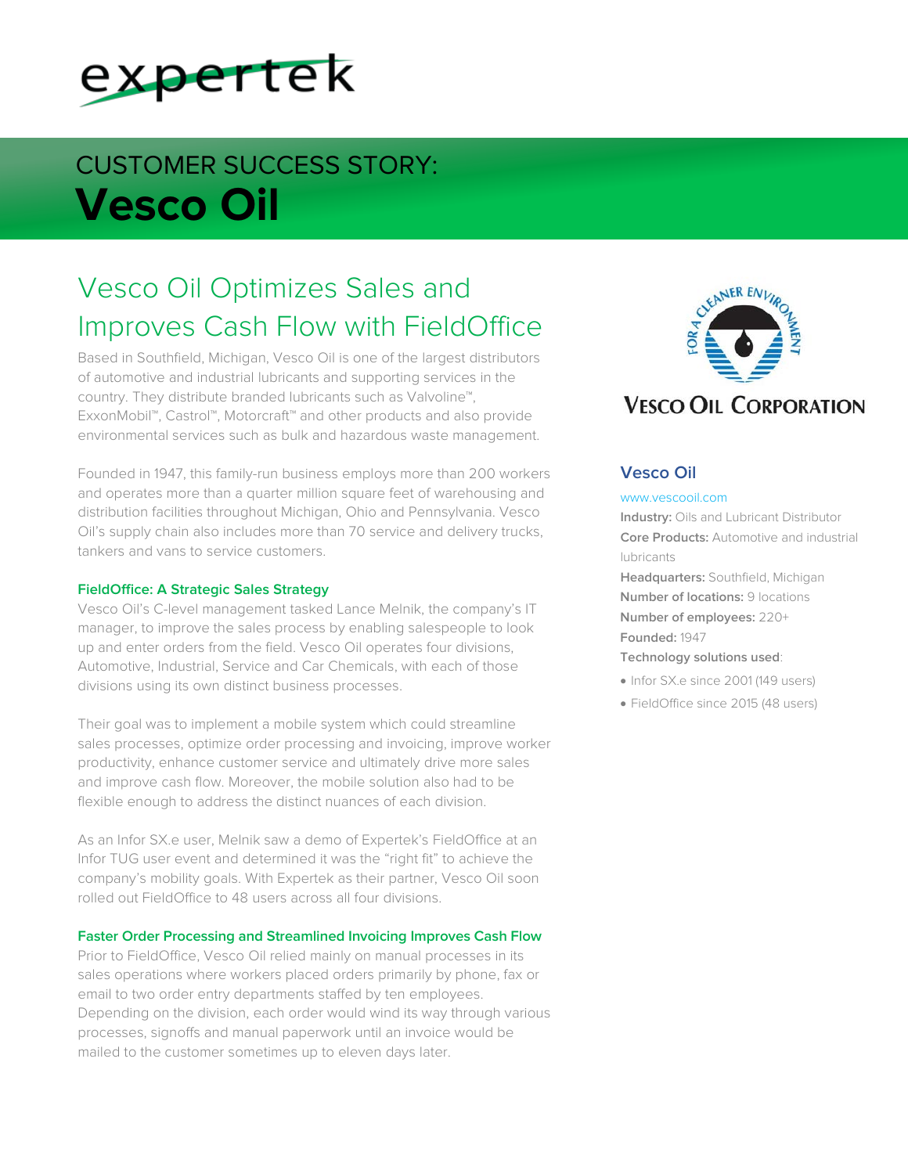

# CUSTOMER SUCCESS STORY: **Vesco Oil**

# Vesco Oil Optimizes Sales and Improves Cash Flow with FieldOffice

Based in Southfield, Michigan, Vesco Oil is one of the largest distributors of automotive and industrial lubricants and supporting services in the country. They distribute branded lubricants such as Valvoline™, ExxonMobil™, Castrol™, Motorcraft™ and other products and also provide environmental services such as bulk and hazardous waste management.

Founded in 1947, this family-run business employs more than 200 workers and operates more than a quarter million square feet of warehousing and distribution facilities throughout Michigan, Ohio and Pennsylvania. Vesco Oil's supply chain also includes more than 70 service and delivery trucks, tankers and vans to service customers.

### **FieldOffice: A Strategic Sales Strategy**

Vesco Oil's C-level management tasked Lance Melnik, the company's IT manager, to improve the sales process by enabling salespeople to look up and enter orders from the field. Vesco Oil operates four divisions, Automotive, Industrial, Service and Car Chemicals, with each of those divisions using its own distinct business processes.

Their goal was to implement a mobile system which could streamline sales processes, optimize order processing and invoicing, improve worker productivity, enhance customer service and ultimately drive more sales and improve cash flow. Moreover, the mobile solution also had to be flexible enough to address the distinct nuances of each division.

As an Infor SX.e user, Melnik saw a demo of Expertek's FieldOffice at an Infor TUG user event and determined it was the "right fit" to achieve the company's mobility goals. With Expertek as their partner, Vesco Oil soon rolled out FieldOffice to 48 users across all four divisions.

### **Faster Order Processing and Streamlined Invoicing Improves Cash Flow**

Prior to FieldOffice, Vesco Oil relied mainly on manual processes in its sales operations where workers placed orders primarily by phone, fax or email to two order entry departments staffed by ten employees. Depending on the division, each order would wind its way through various processes, signoffs and manual paperwork until an invoice would be mailed to the customer sometimes up to eleven days later.



# **Vesco Oil**

#### www.vescooil.com

**Industry:** Oils and Lubricant Distributor **Core Products:** Automotive and industrial lubricants

**Headquarters:** Southfield, Michigan **Number of locations:** 9 locations **Number of employees:** 220+ **Founded:** 1947

## **Technology solutions used**:

- Infor SX.e since 2001 (149 users)
- FieldOffice since 2015 (48 users)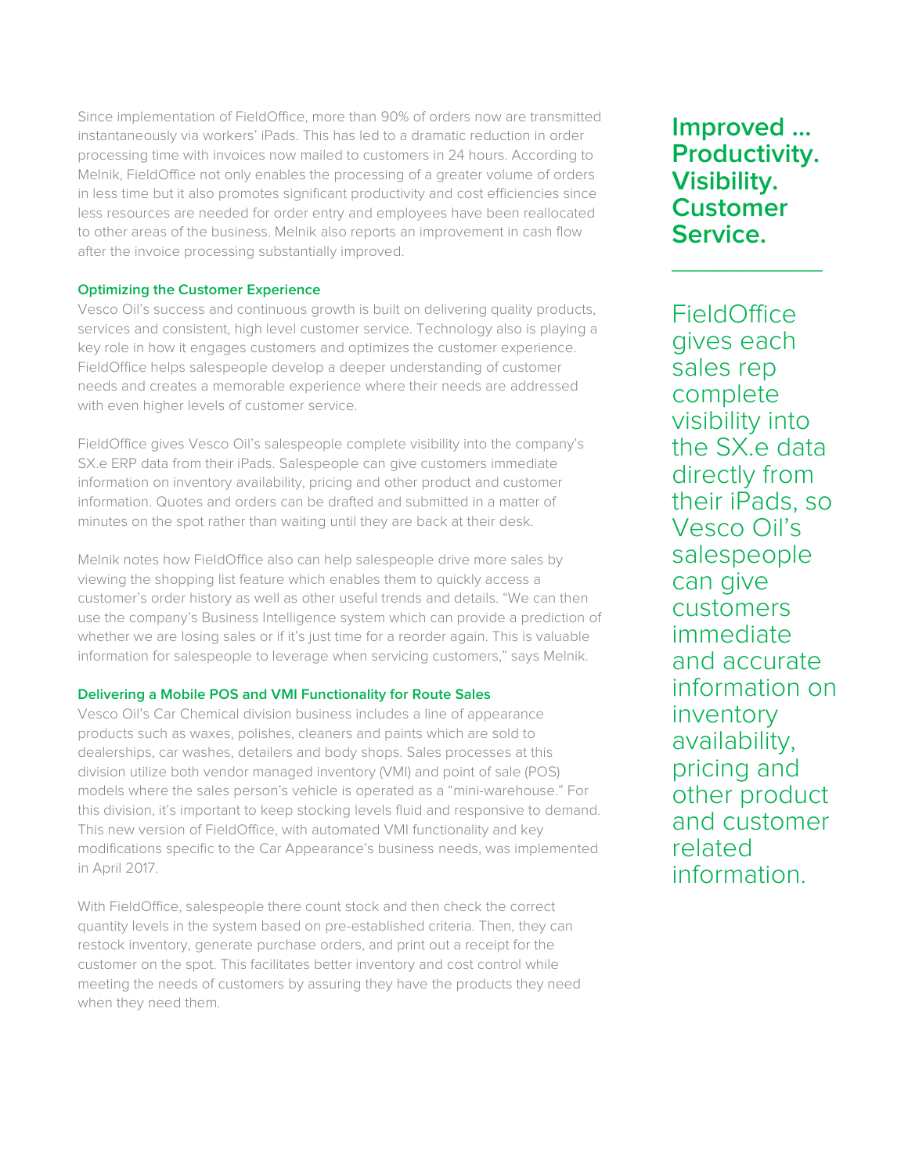Since implementation of FieldOffice, more than 90% of orders now are transmitted instantaneously via workers' iPads. This has led to a dramatic reduction in order processing time with invoices now mailed to customers in 24 hours. According to Melnik, FieldOffice not only enables the processing of a greater volume of orders in less time but it also promotes significant productivity and cost efficiencies since less resources are needed for order entry and employees have been reallocated to other areas of the business. Melnik also reports an improvement in cash flow after the invoice processing substantially improved.

# **Optimizing the Customer Experience**

Vesco Oil's success and continuous growth is built on delivering quality products, services and consistent, high level customer service. Technology also is playing a key role in how it engages customers and optimizes the customer experience. FieldOffice helps salespeople develop a deeper understanding of customer needs and creates a memorable experience where their needs are addressed with even higher levels of customer service.

FieldOffice gives Vesco Oil's salespeople complete visibility into the company's SX.e ERP data from their iPads. Salespeople can give customers immediate information on inventory availability, pricing and other product and customer information. Quotes and orders can be drafted and submitted in a matter of minutes on the spot rather than waiting until they are back at their desk.

Melnik notes how FieldOffice also can help salespeople drive more sales by viewing the shopping list feature which enables them to quickly access a customer's order history as well as other useful trends and details. "We can then use the company's Business Intelligence system which can provide a prediction of whether we are losing sales or if it's just time for a reorder again. This is valuable information for salespeople to leverage when servicing customers," says Melnik.

# **Delivering a Mobile POS and VMI Functionality for Route Sales**

Vesco Oil's Car Chemical division business includes a line of appearance products such as waxes, polishes, cleaners and paints which are sold to dealerships, car washes, detailers and body shops. Sales processes at this division utilize both vendor managed inventory (VMI) and point of sale (POS) models where the sales person's vehicle is operated as a "mini-warehouse." For this division, it's important to keep stocking levels fluid and responsive to demand. This new version of FieldOffice, with automated VMI functionality and key modifications specific to the Car Appearance's business needs, was implemented in April 2017.

With FieldOffice, salespeople there count stock and then check the correct quantity levels in the system based on pre-established criteria. Then, they can restock inventory, generate purchase orders, and print out a receipt for the customer on the spot. This facilitates better inventory and cost control while meeting the needs of customers by assuring they have the products they need when they need them.

**Improved … Productivity. Visibility. Customer Service.**  $\overline{\phantom{a}}$  , where  $\overline{\phantom{a}}$ 

FieldOffice gives each sales rep complete visibility into the SX.e data directly from their iPads, so Vesco Oil's salespeople can give customers immediate and accurate information on inventory availability, pricing and other product and customer related information.